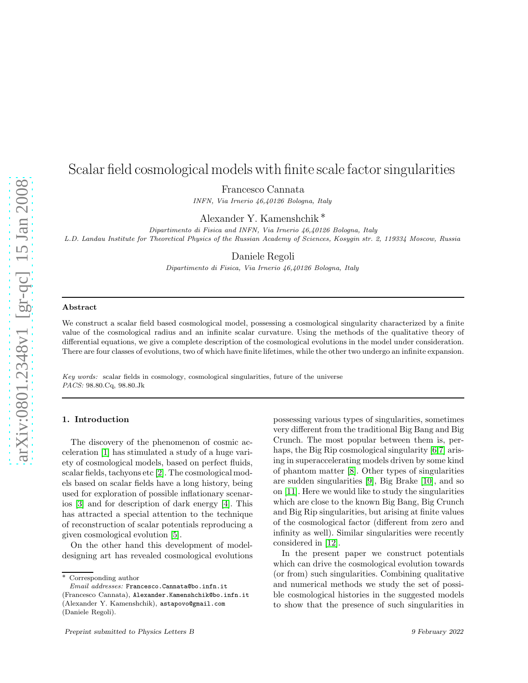# Scalar field cosmological models with finite scale factor singularities

Francesco Cannata

*INFN, Via Irnerio 46,40126 Bologna, Italy*

Alexander Y. Kamenshchik ∗

*Dipartimento di Fisica and INFN, Via Irnerio 46,40126 Bologna, Italy L.D. Landau Institute for Theoretical Physics of the Russian Academy of Sciences, Kosygin str. 2, 119334 Moscow, Russia*

Daniele Regoli

*Dipartimento di Fisica, Via Irnerio 46,40126 Bologna, Italy*

## Abstract

We construct a scalar field based cosmological model, possessing a cosmological singularity characterized by a finite value of the cosmological radius and an infinite scalar curvature. Using the methods of the qualitative theory of differential equations, we give a complete description of the cosmological evolutions in the model under consideration. There are four classes of evolutions, two of which have finite lifetimes, while the other two undergo an infinite expansion.

*Key words:* scalar fields in cosmology, cosmological singularities, future of the universe *PACS:* 98.80.Cq, 98.80.Jk

### 1. Introduction

The discovery of the phenomenon of cosmic acceleration [\[1\]](#page-4-0) has stimulated a study of a huge variety of cosmological models, based on perfect fluids, scalar fields, tachyons etc [\[2\]](#page-4-1). The cosmological models based on scalar fields have a long history, being used for exploration of possible inflationary scenarios [\[3\]](#page-4-2) and for description of dark energy [\[4\]](#page-4-3). This has attracted a special attention to the technique of reconstruction of scalar potentials reproducing a given cosmological evolution [\[5\]](#page-4-4).

On the other hand this development of modeldesigning art has revealed cosmological evolutions

possessing various types of singularities, sometimes very different from the traditional Big Bang and Big Crunch. The most popular between them is, perhaps, the Big Rip cosmological singularity [\[6](#page-4-5)[,7\]](#page-4-6) arising in superaccelerating models driven by some kind of phantom matter [\[8\]](#page-4-7). Other types of singularities are sudden singularities [\[9\]](#page-4-8), Big Brake [\[10\]](#page-4-9), and so on [\[11\]](#page-4-10). Here we would like to study the singularities which are close to the known Big Bang, Big Crunch and Big Rip singularities, but arising at finite values of the cosmological factor (different from zero and infinity as well). Similar singularities were recently considered in [\[12\]](#page-4-11).

In the present paper we construct potentials which can drive the cosmological evolution towards (or from) such singularities. Combining qualitative and numerical methods we study the set of possible cosmological histories in the suggested models to show that the presence of such singularities in

<sup>∗</sup> Corresponding author

*Email addresses:* Francesco.Cannata@bo.infn.it

<sup>(</sup>Francesco Cannata), Alexander.Kamenshchik@bo.infn.it (Alexander Y. Kamenshchik), astapovo@gmail.com (Daniele Regoli).

Preprint submitted to Physics Letters B 9 February 2022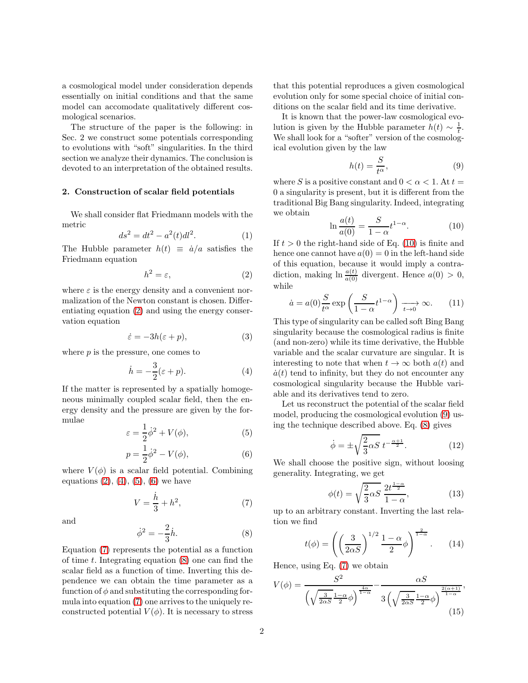a cosmological model under consideration depends essentially on initial conditions and that the same model can accomodate qualitatively different cosmological scenarios.

The structure of the paper is the following: in Sec. 2 we construct some potentials corresponding to evolutions with "soft" singularities. In the third section we analyze their dynamics. The conclusion is devoted to an interpretation of the obtained results.

#### 2. Construction of scalar field potentials

We shall consider flat Friedmann models with the metric

$$
ds^2 = dt^2 - a^2(t)dl^2.
$$
 (1)

The Hubble parameter  $h(t) \equiv \dot{a}/a$  satisfies the Friedmann equation

<span id="page-1-0"></span>
$$
h^2 = \varepsilon,\tag{2}
$$

where  $\varepsilon$  is the energy density and a convenient normalization of the Newton constant is chosen. Differentiating equation [\(2\)](#page-1-0) and using the energy conservation equation

$$
\dot{\varepsilon} = -3h(\varepsilon + p),\tag{3}
$$

where  $p$  is the pressure, one comes to

<span id="page-1-1"></span>
$$
\dot{h} = -\frac{3}{2}(\varepsilon + p). \tag{4}
$$

If the matter is represented by a spatially homogeneous minimally coupled scalar field, then the energy density and the pressure are given by the formulae

<span id="page-1-2"></span>
$$
\varepsilon = \frac{1}{2}\dot{\phi}^2 + V(\phi),\tag{5}
$$

<span id="page-1-3"></span>
$$
p = \frac{1}{2}\dot{\phi}^2 - V(\phi),
$$
 (6)

where  $V(\phi)$  is a scalar field potential. Combining equations  $(2)$ ,  $(4)$ ,  $(5)$ ,  $(6)$  we have

<span id="page-1-4"></span>
$$
V = \frac{\dot{h}}{3} + h^2,\tag{7}
$$

and

<span id="page-1-5"></span>
$$
\dot{\phi}^2 = -\frac{2}{3}\dot{h}.\tag{8}
$$

Equation [\(7\)](#page-1-4) represents the potential as a function of time  $t$ . Integrating equation  $(8)$  one can find the scalar field as a function of time. Inverting this dependence we can obtain the time parameter as a function of  $\phi$  and substituting the corresponding formula into equation [\(7\)](#page-1-4) one arrives to the uniquely reconstructed potential  $V(\phi)$ . It is necessary to stress

that this potential reproduces a given cosmological evolution only for some special choice of initial conditions on the scalar field and its time derivative.

It is known that the power-law cosmological evolution is given by the Hubble parameter  $h(t) \sim \frac{1}{t}$ . We shall look for a "softer" version of the cosmological evolution given by the law

<span id="page-1-7"></span>
$$
h(t) = \frac{S}{t^{\alpha}},\tag{9}
$$

where S is a positive constant and  $0 < \alpha < 1$ . At  $t =$ 0 a singularity is present, but it is different from the traditional Big Bang singularity. Indeed, integrating we obtain

<span id="page-1-6"></span>
$$
\ln \frac{a(t)}{a(0)} = \frac{S}{1 - \alpha} t^{1 - \alpha}.
$$
 (10)

If  $t > 0$  the right-hand side of Eq. [\(10\)](#page-1-6) is finite and hence one cannot have  $a(0) = 0$  in the left-hand side of this equation, because it would imply a contradiction, making  $\ln \frac{a(t)}{a(0)}$  divergent. Hence  $a(0) > 0$ , while

$$
\dot{a} = a(0)\frac{S}{t^{\alpha}} \exp\left(\frac{S}{1-\alpha}t^{1-\alpha}\right) \xrightarrow[t \to 0]{} \infty.
$$
 (11)

This type of singularity can be called soft Bing Bang singularity because the cosmological radius is finite (and non-zero) while its time derivative, the Hubble variable and the scalar curvature are singular. It is interesting to note that when  $t \to \infty$  both  $a(t)$  and  $\dot{a}(t)$  tend to infinity, but they do not encounter any cosmological singularity because the Hubble variable and its derivatives tend to zero.

Let us reconstruct the potential of the scalar field model, producing the cosmological evolution [\(9\)](#page-1-7) using the technique described above. Eq. [\(8\)](#page-1-5) gives

<span id="page-1-8"></span>
$$
\dot{\phi} = \pm \sqrt{\frac{2}{3}\alpha S} \, t^{-\frac{\alpha+1}{2}}.\tag{12}
$$

We shall choose the positive sign, without loosing generality. Integrating, we get

<span id="page-1-9"></span>
$$
\phi(t) = \sqrt{\frac{2}{3}\alpha S} \frac{2t^{\frac{1-\alpha}{2}}}{1-\alpha},\tag{13}
$$

up to an arbitrary constant. Inverting the last relation we find

$$
t(\phi) = \left( \left( \frac{3}{2\alpha S} \right)^{1/2} \frac{1-\alpha}{2} \phi \right)^{\frac{2}{1-\alpha}}.
$$
 (14)

Hence, using Eq. [\(7\)](#page-1-4) we obtain

$$
V(\phi) = \frac{S^2}{\left(\sqrt{\frac{3}{2\alpha S}}\frac{1-\alpha}{2}\phi\right)^{\frac{4\alpha}{1-\alpha}}} - \frac{\alpha S}{3\left(\sqrt{\frac{3}{2\alpha S}}\frac{1-\alpha}{2}\phi\right)^{\frac{2(\alpha+1)}{1-\alpha}}},\tag{15}
$$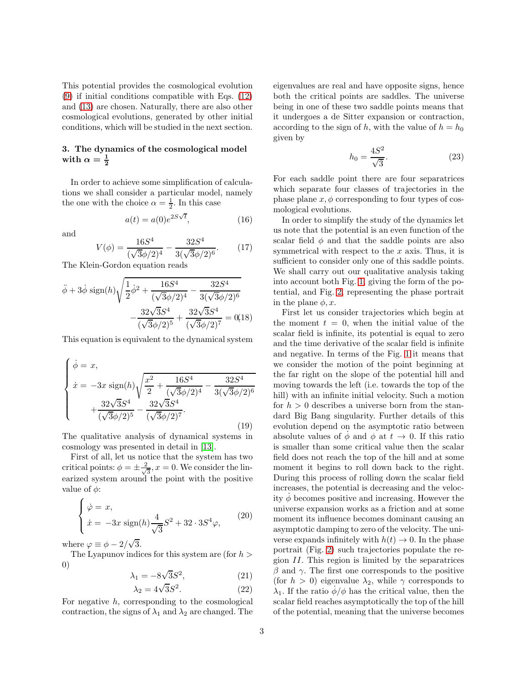This potential provides the cosmological evolution [\(9\)](#page-1-7) if initial conditions compatible with Eqs. [\(12\)](#page-1-8) and [\(13\)](#page-1-9) are chosen. Naturally, there are also other cosmological evolutions, generated by other initial conditions, which will be studied in the next section.

# 3. The dynamics of the cosmological model with  $\alpha = \frac{1}{2}$

In order to achieve some simplification of calculations we shall consider a particular model, namely the one with the choice  $\alpha = \frac{1}{2}$ . In this case

$$
a(t) = a(0)e^{2S\sqrt{t}}, \qquad (16)
$$

and

<span id="page-2-1"></span>
$$
V(\phi) = \frac{16S^4}{(\sqrt{3}\phi/2)^4} - \frac{32S^4}{3(\sqrt{3}\phi/2)^6}.
$$
 (17)

The Klein-Gordon equation reads

<span id="page-2-0"></span>
$$
\ddot{\phi} + 3\dot{\phi}\,\text{sign}(h)\sqrt{\frac{1}{2}\dot{\phi}^2 + \frac{16S^4}{(\sqrt{3}\phi/2)^4} - \frac{32S^4}{3(\sqrt{3}\phi/2)^6}} - \frac{32\sqrt{3}S^4}{(\sqrt{3}\phi/2)^5} + \frac{32\sqrt{3}S^4}{(\sqrt{3}\phi/2)^7} = 0(18)
$$

This equation is equivalent to the dynamical system

<span id="page-2-2"></span>
$$
\begin{cases}\n\dot{\phi} = x, \\
\dot{x} = -3x \operatorname{sign}(h) \sqrt{\frac{x^2}{2} + \frac{16S^4}{(\sqrt{3}\phi/2)^4} - \frac{32S^4}{3(\sqrt{3}\phi/2)^6}} \\
+ \frac{32\sqrt{3}S^4}{(\sqrt{3}\phi/2)^5} - \frac{32\sqrt{3}S^4}{(\sqrt{3}\phi/2)^7}.\n\end{cases}
$$
\n(19)

The qualitative analysis of dynamical systems in cosmology was presented in detail in [\[13\]](#page-4-12).

First of all, let us notice that the system has two critical points:  $\phi = \pm \frac{2}{\sqrt{2}}$  $\frac{1}{3}$ ,  $x = 0$ . We consider the linearized system around the point with the positive value of  $\phi$ :

$$
\begin{cases} \n\dot{\varphi} = x, \\ \n\dot{x} = -3x \operatorname{sign}(h) \frac{4}{\sqrt{3}} S^2 + 32 \cdot 3S^4 \varphi, \n\end{cases} \n\tag{20}
$$

where  $\varphi \equiv \phi - 2/\sqrt{3}$ .

The Lyapunov indices for this system are (for  $h >$ 0)

$$
\lambda_1 = -8\sqrt{3}S^2, \qquad (21)
$$

$$
\lambda_2 = 4\sqrt{3}S^2. \tag{22}
$$

For negative  $h$ , corresponding to the cosmological contraction, the signs of  $\lambda_1$  and  $\lambda_2$  are changed. The

eigenvalues are real and have opposite signs, hence both the critical points are saddles. The universe being in one of these two saddle points means that it undergoes a de Sitter expansion or contraction, according to the sign of h, with the value of  $h = h_0$ given by

$$
h_0 = \frac{4S^2}{\sqrt{3}}.\t(23)
$$

For each saddle point there are four separatrices which separate four classes of trajectories in the phase plane  $x, \phi$  corresponding to four types of cosmological evolutions.

In order to simplify the study of the dynamics let us note that the potential is an even function of the scalar field  $\phi$  and that the saddle points are also symmetrical with respect to the  $x$  axis. Thus, it is sufficient to consider only one of this saddle points. We shall carry out our qualitative analysis taking into account both Fig. [1,](#page-5-0) giving the form of the potential, and Fig. [2,](#page-5-1) representing the phase portrait in the plane  $\phi, x$ .

First let us consider trajectories which begin at the moment  $t = 0$ , when the initial value of the scalar field is infinite, its potential is equal to zero and the time derivative of the scalar field is infinite and negative. In terms of the Fig. [1](#page-5-0) it means that we consider the motion of the point beginning at the far right on the slope of the potential hill and moving towards the left (i.e. towards the top of the hill) with an infinite initial velocity. Such a motion for  $h > 0$  describes a universe born from the standard Big Bang singularity. Further details of this evolution depend on the asymptotic ratio between absolute values of  $\phi$  and  $\phi$  at  $t \to 0$ . If this ratio is smaller than some critical value then the scalar field does not reach the top of the hill and at some moment it begins to roll down back to the right. During this process of rolling down the scalar field increases, the potential is decreasing and the velocity  $\phi$  becomes positive and increasing. However the universe expansion works as a friction and at some moment its influence becomes dominant causing an asymptotic damping to zero of the velocity. The universe expands infinitely with  $h(t) \to 0$ . In the phase portrait (Fig. [2\)](#page-5-1) such trajectories populate the region  $II$ . This region is limited by the separatrices  $β$  and γ. The first one corresponds to the positive (for  $h > 0$ ) eigenvalue  $\lambda_2$ , while  $\gamma$  corresponds to  $\lambda_1$ . If the ratio  $\phi/\phi$  has the critical value, then the scalar field reaches asymptotically the top of the hill of the potential, meaning that the universe becomes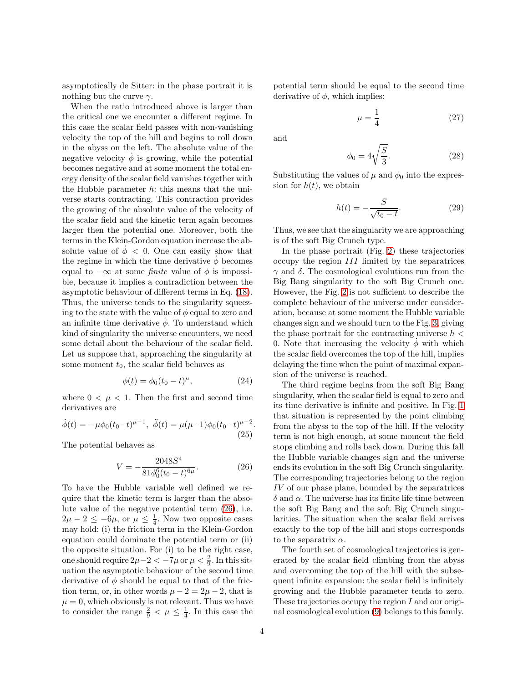asymptotically de Sitter: in the phase portrait it is nothing but the curve  $\gamma$ .

When the ratio introduced above is larger than the critical one we encounter a different regime. In this case the scalar field passes with non-vanishing velocity the top of the hill and begins to roll down in the abyss on the left. The absolute value of the negative velocity  $\dot{\phi}$  is growing, while the potential becomes negative and at some moment the total energy density of the scalar field vanishes together with the Hubble parameter  $h$ : this means that the universe starts contracting. This contraction provides the growing of the absolute value of the velocity of the scalar field and the kinetic term again becomes larger then the potential one. Moreover, both the terms in the Klein-Gordon equation increase the absolute value of  $\phi$  < 0. One can easily show that the regime in which the time derivative  $\phi$  becomes equal to  $-\infty$  at some *finite* value of  $\phi$  is impossible, because it implies a contradiction between the asymptotic behaviour of different terms in Eq. [\(18\)](#page-2-0). Thus, the universe tends to the singularity squeezing to the state with the value of  $\phi$  equal to zero and an infinite time derivative  $\dot{\phi}$ . To understand which kind of singularity the universe encounters, we need some detail about the behaviour of the scalar field. Let us suppose that, approaching the singularity at some moment  $t_0$ , the scalar field behaves as

$$
\phi(t) = \phi_0 (t_0 - t)^{\mu}, \tag{24}
$$

where  $0 < \mu < 1$ . Then the first and second time derivatives are

$$
\dot{\phi}(t) = -\mu \phi_0 (t_0 - t)^{\mu - 1}, \quad \ddot{\phi}(t) = \mu (\mu - 1) \phi_0 (t_0 - t)^{\mu - 2} \tag{25}
$$

The potential behaves as

<span id="page-3-0"></span>
$$
V = -\frac{2048S^4}{81\phi_0^6(t_0 - t)^{6\mu}}.\tag{26}
$$

To have the Hubble variable well defined we require that the kinetic term is larger than the absolute value of the negative potential term [\(26\)](#page-3-0), i.e.  $2\mu - 2 \leq -6\mu$ , or  $\mu \leq \frac{1}{4}$ . Now two opposite cases may hold: (i) the friction term in the Klein-Gordon equation could dominate the potential term or (ii) the opposite situation. For (i) to be the right case, one should require  $2\mu - 2 < -7\mu$  or  $\mu < \frac{2}{9}$ . In this situation the asymptotic behaviour of the second time derivative of  $\phi$  should be equal to that of the friction term, or, in other words  $\mu - 2 = 2\mu - 2$ , that is  $\mu = 0$ , which obviously is not relevant. Thus we have to consider the range  $\frac{2}{9} < \mu \leq \frac{1}{4}$ . In this case the

potential term should be equal to the second time derivative of  $\phi$ , which implies:

$$
\mu = \frac{1}{4} \tag{27}
$$

and

$$
\phi_0 = 4\sqrt{\frac{S}{3}}.\tag{28}
$$

Substituting the values of  $\mu$  and  $\phi_0$  into the expression for  $h(t)$ , we obtain

$$
h(t) = -\frac{S}{\sqrt{t_0 - t}}.\t(29)
$$

Thus, we see that the singularity we are approaching is of the soft Big Crunch type.

In the phase portrait (Fig. [2\)](#page-5-1) these trajectories occupy the region III limited by the separatrices  $\gamma$  and  $\delta$ . The cosmological evolutions run from the Big Bang singularity to the soft Big Crunch one. However, the Fig. [2](#page-5-1) is not sufficient to describe the complete behaviour of the universe under consideration, because at some moment the Hubble variable changes sign and we should turn to the Fig. [3,](#page-5-2) giving the phase portrait for the contracting universe  $h <$ 0. Note that increasing the velocity  $\phi$  with which the scalar field overcomes the top of the hill, implies delaying the time when the point of maximal expansion of the universe is reached.

The third regime begins from the soft Big Bang singularity, when the scalar field is equal to zero and its time derivative is infinite and positive. In Fig. [1](#page-5-0) that situation is represented by the point climbing from the abyss to the top of the hill. If the velocity term is not high enough, at some moment the field stops climbing and rolls back down. During this fall the Hubble variable changes sign and the universe ends its evolution in the soft Big Crunch singularity. The corresponding trajectories belong to the region IV of our phase plane, bounded by the separatrices  $\delta$  and  $\alpha$ . The universe has its finite life time between the soft Big Bang and the soft Big Crunch singularities. The situation when the scalar field arrives exactly to the top of the hill and stops corresponds to the separatrix  $\alpha$ .

The fourth set of cosmological trajectories is generated by the scalar field climbing from the abyss and overcoming the top of the hill with the subsequent infinite expansion: the scalar field is infinitely growing and the Hubble parameter tends to zero. These trajectories occupy the region I and our original cosmological evolution [\(9\)](#page-1-7) belongs to this family.

.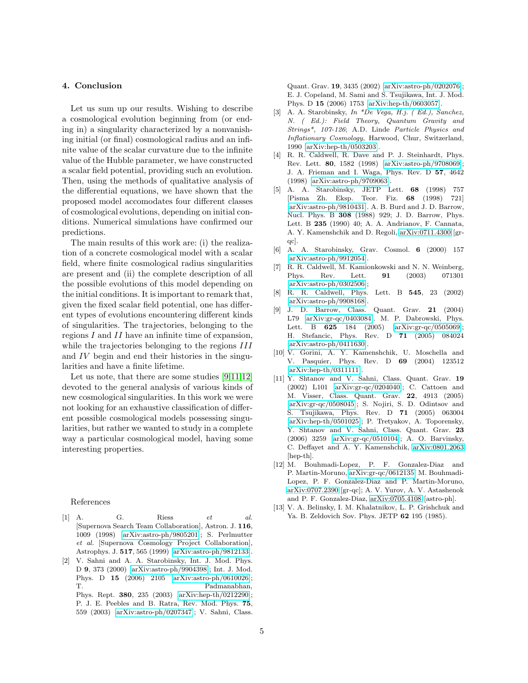#### 4. Conclusion

Let us sum up our results. Wishing to describe a cosmological evolution beginning from (or ending in) a singularity characterized by a nonvanishing initial (or final) cosmological radius and an infinite value of the scalar curvature due to the infinite value of the Hubble parameter, we have constructed a scalar field potential, providing such an evolution. Then, using the methods of qualitative analysis of the differential equations, we have shown that the proposed model accomodates four different classes of cosmological evolutions, depending on initial conditions. Numerical simulations have confirmed our predictions.

The main results of this work are: (i) the realization of a concrete cosmological model with a scalar field, where finite cosmological radius singularities are present and (ii) the complete description of all the possible evolutions of this model depending on the initial conditions. It is important to remark that, given the fixed scalar field potential, one has different types of evolutions encountering different kinds of singularities. The trajectories, belonging to the regions  $I$  and  $II$  have an infinite time of expansion, while the trajectories belonging to the regions  $III$ and IV begin and end their histories in the singularities and have a finite lifetime.

Let us note, that there are some studies [\[9,](#page-4-8)[11](#page-4-10)[,12\]](#page-4-11) devoted to the general analysis of various kinds of new cosmological singularities. In this work we were not looking for an exhaustive classification of different possible cosmological models possessing singularities, but rather we wanted to study in a complete way a particular cosmological model, having some interesting properties.

#### References

- <span id="page-4-0"></span>[1] A. G. Riess *et al.* [Supernova Search Team Collaboration], Astron. J. 116, 1009 (1998) [\[arXiv:astro-ph/9805201\]](http://arxiv.org/abs/astro-ph/9805201); S. Perlmutter *et al.* [Supernova Cosmology Project Collaboration], Astrophys. J. 517, 565 (1999) [\[arXiv:astro-ph/9812133\]](http://arxiv.org/abs/astro-ph/9812133).
- <span id="page-4-1"></span>[2] V. Sahni and A. A. Starobinsky, Int. J. Mod. Phys. D 9, 373 (2000) [\[arXiv:astro-ph/9904398\]](http://arxiv.org/abs/astro-ph/9904398); Int. J. Mod. Phys. D 15 (2006) 2105 [\[arXiv:astro-ph/0610026\]](http://arxiv.org/abs/astro-ph/0610026); T. Padmanabhan, Phys. Rept. 380, 235 (2003) [\[arXiv:hep-th/0212290\]](http://arxiv.org/abs/hep-th/0212290);

P. J. E. Peebles and B. Ratra, Rev. Mod. Phys. 75, 559 (2003) [\[arXiv:astro-ph/0207347\]](http://arxiv.org/abs/astro-ph/0207347); V. Sahni, Class.

Quant. Grav. 19, 3435 (2002) [\[arXiv:astro-ph/0202076\]](http://arxiv.org/abs/astro-ph/0202076); E. J. Copeland, M. Sami and S. Tsujikawa, Int. J. Mod. Phys. D 15 (2006) 1753 [\[arXiv:hep-th/0603057\]](http://arxiv.org/abs/hep-th/0603057).

- <span id="page-4-2"></span>[3] A. A. Starobinsky, *In \*De Vega, H.j. ( Ed.), Sanchez, N. ( Ed.): Field Theory, Quantum Gravity and Strings\*, 107-126*; A.D. Linde *Particle Physics and Inflationary Cosmology*, Harwood, Chur, Switzerland, 1990 [\[arXiv:hep-th/0503203\]](http://arxiv.org/abs/hep-th/0503203).
- <span id="page-4-3"></span>[4] R. R. Caldwell, R. Dave and P. J. Steinhardt, Phys. Rev. Lett. 80, 1582 (1998) [\[arXiv:astro-ph/9708069\]](http://arxiv.org/abs/astro-ph/9708069); J. A. Frieman and I. Waga, Phys. Rev. D 57, 4642 (1998) [\[arXiv:astro-ph/9709063\]](http://arxiv.org/abs/astro-ph/9709063).
- <span id="page-4-4"></span>[5] A. A. Starobinsky, JETP Lett. 68 (1998) 757 [Pisma Zh. Eksp. Teor. Fiz. 68 (1998) 721] [\[arXiv:astro-ph/9810431\]](http://arxiv.org/abs/astro-ph/9810431). A. B. Burd and J. D. Barrow, Nucl. Phys. B 308 (1988) 929; J. D. Barrow, Phys. Lett. B 235 (1990) 40; A. A. Andrianov, F. Cannata, A. Y. Kamenshchik and D. Regoli, [arXiv:0711.4300](http://arxiv.org/abs/0711.4300) [grqc].
- <span id="page-4-5"></span>[6] A. A. Starobinsky, Grav. Cosmol. 6 (2000) 157 [\[arXiv:astro-ph/9912054\]](http://arxiv.org/abs/astro-ph/9912054).
- <span id="page-4-6"></span>[7] R. R. Caldwell, M. Kamionkowski and N. N. Weinberg, Phys. Rev. Lett. 91 (2003) 071301 [\[arXiv:astro-ph/0302506\]](http://arxiv.org/abs/astro-ph/0302506);
- <span id="page-4-7"></span>[8] R. R. Caldwell, Phys. Lett. B 545, 23 (2002) [\[arXiv:astro-ph/9908168\]](http://arxiv.org/abs/astro-ph/9908168).
- <span id="page-4-8"></span>[9] J. D. Barrow, Class. Quant. Grav. 21 (2004) L79 [\[arXiv:gr-qc/0403084\]](http://arxiv.org/abs/gr-qc/0403084). M. P. Dabrowski, Phys. Lett. B 625 184 (2005) [\[arXiv:gr-qc/0505069\]](http://arxiv.org/abs/gr-qc/0505069); H. Stefancic, Phys. Rev. D 71 (2005) 084024 [\[arXiv:astro-ph/0411630\]](http://arxiv.org/abs/astro-ph/0411630).
- <span id="page-4-9"></span>[10] V. Gorini, A. Y. Kamenshchik, U. Moschella and V. Pasquier, Phys. Rev. D 69 (2004) 123512 [\[arXiv:hep-th/0311111\]](http://arxiv.org/abs/hep-th/0311111).
- <span id="page-4-10"></span>[11] Y. Shtanov and V. Sahni, Class. Quant. Grav. 19 (2002) L101 [\[arXiv:gr-qc/0204040\]](http://arxiv.org/abs/gr-qc/0204040); C. Cattoen and M. Visser, Class. Quant. Grav. 22, 4913 (2005) [\[arXiv:gr-qc/0508045\]](http://arxiv.org/abs/gr-qc/0508045); S. Nojiri, S. D. Odintsov and S. Tsujikawa, Phys. Rev. D 71 (2005) 063004 [\[arXiv:hep-th/0501025\]](http://arxiv.org/abs/hep-th/0501025); P. Tretyakov, A. Toporensky, Y. Shtanov and V. Sahni, Class. Quant. Grav. 23 (2006) 3259 [\[arXiv:gr-qc/0510104\]](http://arxiv.org/abs/gr-qc/0510104); A. O. Barvinsky, C. Deffayet and A. Y. Kamenshchik, [arXiv:0801.2063](http://arxiv.org/abs/0801.2063) [hep-th].
- <span id="page-4-11"></span>[12] M. Bouhmadi-Lopez, P. F. Gonzalez-Diaz and P. Martin-Moruno, [arXiv:gr-qc/0612135;](http://arxiv.org/abs/gr-qc/0612135) M. Bouhmadi-Lopez, P. F. Gonzalez-Diaz and P. Martin-Moruno, [arXiv:0707.2390](http://arxiv.org/abs/0707.2390) [gr-qc]; A. V. Yurov, A. V. Astashenok and P. F. Gonzalez-Diaz, [arXiv:0705.4108](http://arxiv.org/abs/0705.4108) [astro-ph].
- <span id="page-4-12"></span>[13] V. A. Belinsky, I. M. Khalatnikov, L. P. Grishchuk and Ya. B. Zeldovich Sov. Phys. JETP 62 195 (1985).